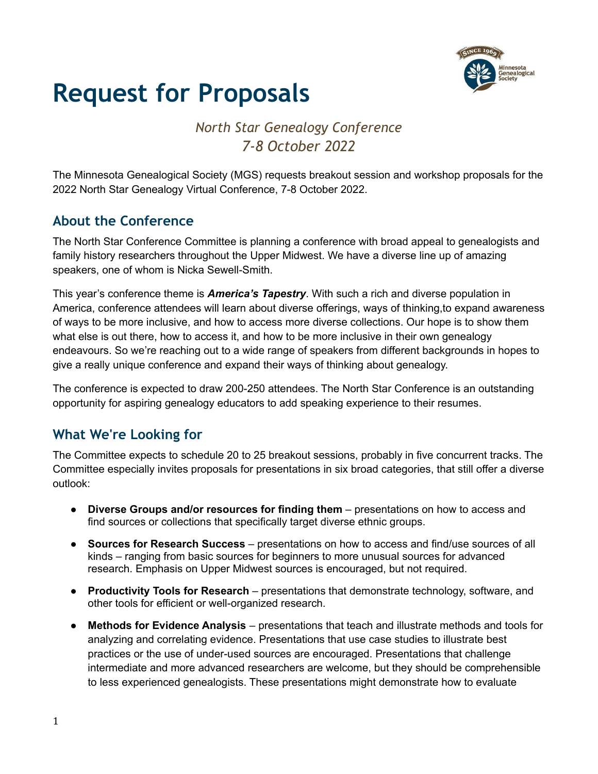

## *North Star Genealogy Conference 7-8 October 2022*

The Minnesota Genealogical Society (MGS) requests breakout session and workshop proposals for the 2022 North Star Genealogy Virtual Conference, 7-8 October 2022.

## **About the Conference**

The North Star Conference Committee is planning a conference with broad appeal to genealogists and family history researchers throughout the Upper Midwest. We have a diverse line up of amazing speakers, one of whom is Nicka Sewell-Smith.

This year's conference theme is *America's Tapestry*. With such a rich and diverse population in America, conference attendees will learn about diverse offerings, ways of thinking,to expand awareness of ways to be more inclusive, and how to access more diverse collections. Our hope is to show them what else is out there, how to access it, and how to be more inclusive in their own genealogy endeavours. So we're reaching out to a wide range of speakers from different backgrounds in hopes to give a really unique conference and expand their ways of thinking about genealogy.

The conference is expected to draw 200-250 attendees. The North Star Conference is an outstanding opportunity for aspiring genealogy educators to add speaking experience to their resumes.

## **What We're Looking for**

The Committee expects to schedule 20 to 25 breakout sessions, probably in five concurrent tracks. The Committee especially invites proposals for presentations in six broad categories, that still offer a diverse outlook:

- **Diverse Groups and/or resources for finding them** presentations on how to access and find sources or collections that specifically target diverse ethnic groups.
- **Sources for Research Success** presentations on how to access and find/use sources of all kinds – ranging from basic sources for beginners to more unusual sources for advanced research. Emphasis on Upper Midwest sources is encouraged, but not required.
- **Productivity Tools for Research** presentations that demonstrate technology, software, and other tools for efficient or well-organized research.
- **Methods for Evidence Analysis** presentations that teach and illustrate methods and tools for analyzing and correlating evidence. Presentations that use case studies to illustrate best practices or the use of under-used sources are encouraged. Presentations that challenge intermediate and more advanced researchers are welcome, but they should be comprehensible to less experienced genealogists. These presentations might demonstrate how to evaluate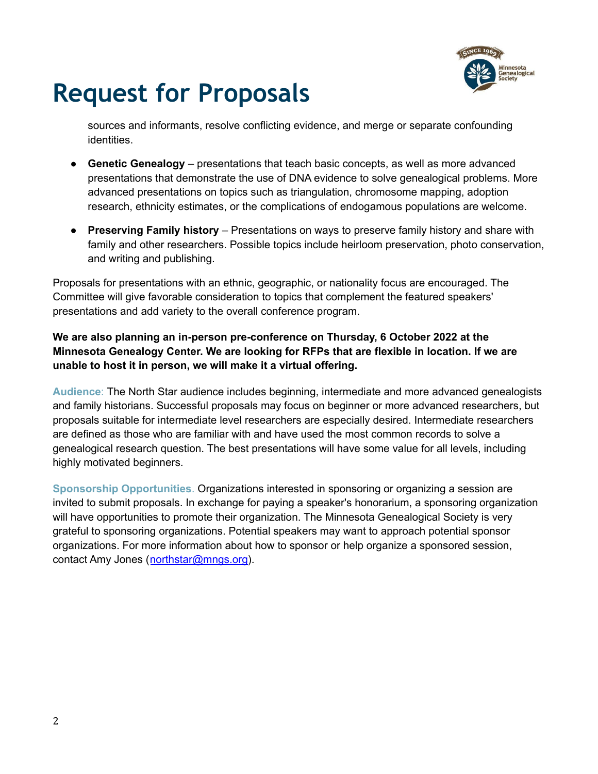

sources and informants, resolve conflicting evidence, and merge or separate confounding identities.

- **Genetic Genealogy** presentations that teach basic concepts, as well as more advanced presentations that demonstrate the use of DNA evidence to solve genealogical problems. More advanced presentations on topics such as triangulation, chromosome mapping, adoption research, ethnicity estimates, or the complications of endogamous populations are welcome.
- **Preserving Family history** Presentations on ways to preserve family history and share with family and other researchers. Possible topics include heirloom preservation, photo conservation, and writing and publishing.

Proposals for presentations with an ethnic, geographic, or nationality focus are encouraged. The Committee will give favorable consideration to topics that complement the featured speakers' presentations and add variety to the overall conference program.

#### **We are also planning an in-person pre-conference on Thursday, 6 October 2022 at the Minnesota Genealogy Center. We are looking for RFPs that are flexible in location. If we are unable to host it in person, we will make it a virtual offering.**

**Audience**: The North Star audience includes beginning, intermediate and more advanced genealogists and family historians. Successful proposals may focus on beginner or more advanced researchers, but proposals suitable for intermediate level researchers are especially desired. Intermediate researchers are defined as those who are familiar with and have used the most common records to solve a genealogical research question. The best presentations will have some value for all levels, including highly motivated beginners.

**Sponsorship Opportunities**. Organizations interested in sponsoring or organizing a session are invited to submit proposals. In exchange for paying a speaker's honorarium, a sponsoring organization will have opportunities to promote their organization. The Minnesota Genealogical Society is very grateful to sponsoring organizations. Potential speakers may want to approach potential sponsor organizations. For more information about how to sponsor or help organize a sponsored session, contact Amy Jones ([northstar@mngs.org\)](mailto:northstar@mngs.org).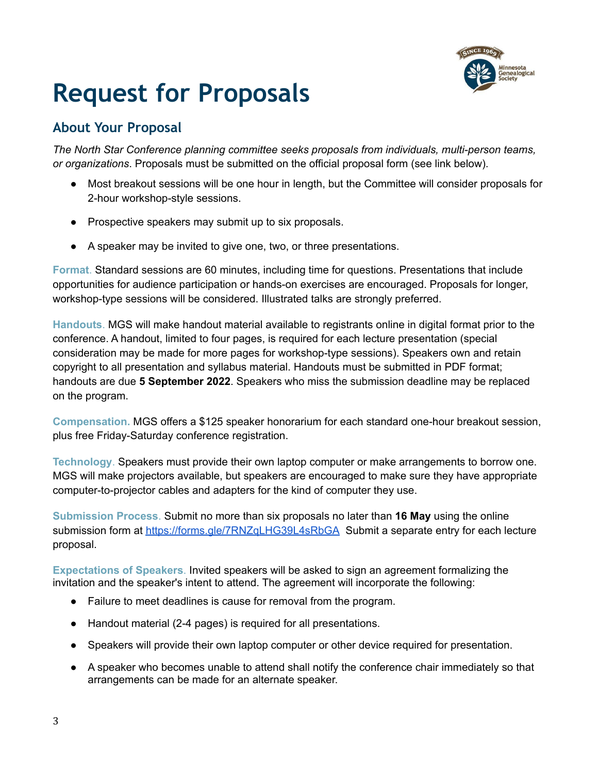

## **About Your Proposal**

*The North Star Conference planning committee seeks proposals from individuals, multi-person teams, or organizations*. Proposals must be submitted on the official proposal form (see link below).

- Most breakout sessions will be one hour in length, but the Committee will consider proposals for 2-hour workshop-style sessions.
- Prospective speakers may submit up to six proposals.
- A speaker may be invited to give one, two, or three presentations.

**Format**. Standard sessions are 60 minutes, including time for questions. Presentations that include opportunities for audience participation or hands-on exercises are encouraged. Proposals for longer, workshop-type sessions will be considered. Illustrated talks are strongly preferred.

**Handouts**. MGS will make handout material available to registrants online in digital format prior to the conference. A handout, limited to four pages, is required for each lecture presentation (special consideration may be made for more pages for workshop-type sessions). Speakers own and retain copyright to all presentation and syllabus material. Handouts must be submitted in PDF format; handouts are due **5 September 2022**. Speakers who miss the submission deadline may be replaced on the program.

**Compensation.** MGS offers a \$125 speaker honorarium for each standard one-hour breakout session, plus free Friday-Saturday conference registration.

**Technology**. Speakers must provide their own laptop computer or make arrangements to borrow one. MGS will make projectors available, but speakers are encouraged to make sure they have appropriate computer-to-projector cables and adapters for the kind of computer they use.

**Submission Process**. Submit no more than six proposals no later than **16 May** using the online submission form at <https://forms.gle/7RNZqLHG39L4sRbGA> Submit a separate entry for each lecture proposal.

**Expectations of Speakers**. Invited speakers will be asked to sign an agreement formalizing the invitation and the speaker's intent to attend. The agreement will incorporate the following:

- Failure to meet deadlines is cause for removal from the program.
- Handout material (2-4 pages) is required for all presentations.
- Speakers will provide their own laptop computer or other device required for presentation.
- A speaker who becomes unable to attend shall notify the conference chair immediately so that arrangements can be made for an alternate speaker.